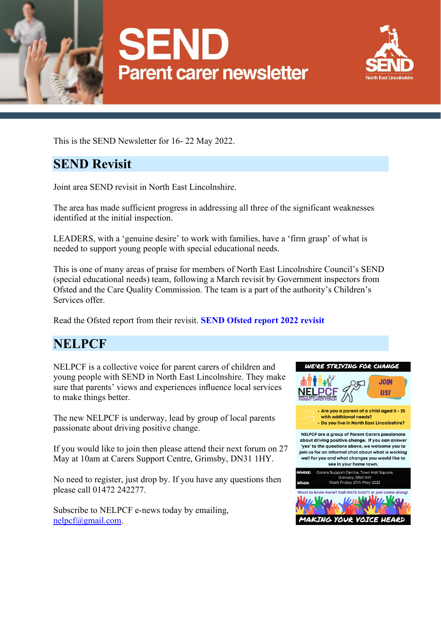





This is the SEND Newsletter for 16- 22 May 2022.

# **SEND Revisit**

Joint area SEND revisit in North East Lincolnshire.

The area has made sufficient progress in addressing all three of the significant weaknesses identified at the initial inspection.

LEADERS, with a 'genuine desire' to work with families, have a 'firm grasp' of what is needed to support young people with special educational needs.

This is one of many areas of praise for members of North East Lincolnshire Council's SEND (special educational needs) team, following a March revisit by Government inspectors from Ofsted and the Care Quality Commission. The team is a part of the authority's Children's Services offer.

Read the Ofsted report from their revisit. **[SEND Ofsted report 2022 revisit](https://files.ofsted.gov.uk/v1/file/50183876)**

## **NELPCF**

NELPCF is a collective voice for parent carers of children and young people with SEND in North East Lincolnshire. They make sure that parents' views and experiences influence local services to make things better.

The new NELPCF is underway, lead by group of local parents passionate about driving positive change.

If you would like to join then please attend their next forum on 27 May at 10am at Carers Support Centre, Grimsby, DN31 1HY.

No need to register, just drop by. If you have any questions then please call 01472 242277.

Subscribe to NELPCF e-news today by emailing, [nelpcf@gmail.com.](mailto:nelpcf@gmail.com)

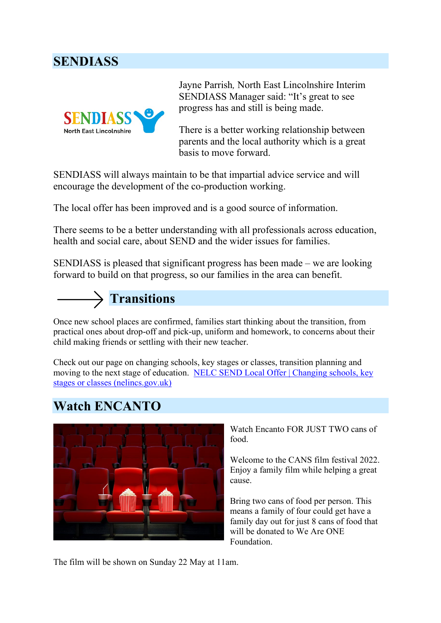#### **SENDIASS**



Jayne Parrish*,* North East Lincolnshire Interim SENDIASS Manager said: "It's great to see progress has and still is being made.

There is a better working relationship between parents and the local authority which is a great basis to move forward.

SENDIASS will always maintain to be that impartial advice service and will encourage the development of the co-production working.

The local offer has been improved and is a good source of information.

There seems to be a better understanding with all professionals across education, health and social care, about SEND and the wider issues for families.

SENDIASS is pleased that significant progress has been made – we are looking forward to build on that progress, so our families in the area can benefit.



Once new school places are confirmed, families start thinking about the transition, from practical ones about drop-off and pick-up, uniform and homework, to concerns about their child making friends or settling with their new teacher.

Check out our page on changing schools, key stages or classes, transition planning and moving to the next stage of education. [NELC SEND Local Offer | Changing schools, key](https://sendlocaloffer.nelincs.gov.uk/school-transitions/)  stages or [classes \(nelincs.gov.uk\)](https://sendlocaloffer.nelincs.gov.uk/school-transitions/)

## **Watch ENCANTO**



Watch Encanto FOR JUST TWO cans of food.

Welcome to the CANS film festival 2022. Enjoy a family film while helping a great cause.

Bring two cans of food per person. This means a family of four could get have a family day out for just 8 cans of food that will be donated to We Are ONE Foundation.

The film will be shown on Sunday 22 May at 11am.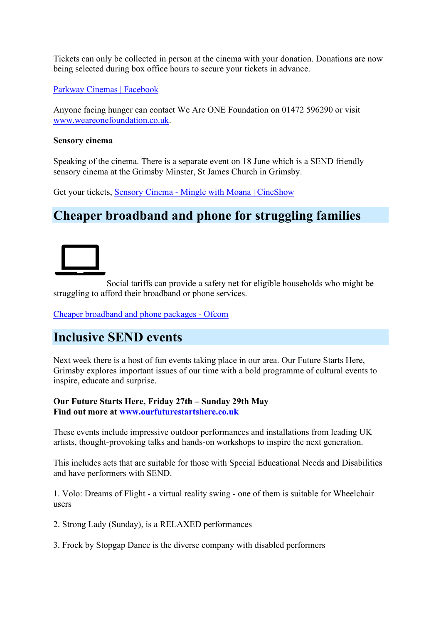Tickets can only be collected in person at the cinema with your donation. Donations are now being selected during box office hours to secure your tickets in advance.

[Parkway Cinemas | Facebook](https://www.facebook.com/parkwaycinemacleethorpes/)

Anyone facing hunger can contact We Are ONE Foundation on 01472 596290 or visit [www.weareonefoundation.co.uk.](http://www.weareonefoundation.co.uk/)

#### **Sensory cinema**

Speaking of the cinema. There is a separate event on 18 June which is a SEND friendly sensory cinema at the Grimsby Minster, St James Church in Grimsby.

Get your tickets, Sensory Cinema - [Mingle with Moana | CineShow](https://www.cineshow.co.uk/event-details/sensory-cinema-mingle-with-moana?fbclid=IwAR3DQ2KYNqoZ6r4jdyJbcHBj9xwZHeGmDxUYXbyW9Hwjk2xypYncw35lTds)

## **Cheaper broadband and phone for struggling families**



Social tariffs can provide a safety net for eligible households who might be struggling to afford their broadband or phone services.

[Cheaper broadband and phone](https://www.ofcom.org.uk/phones-telecoms-and-internet/advice-for-consumers/costs-and-billing/social-tariffs) packages - Ofcom

## **Inclusive SEND events**

Next week there is a host of fun events taking place in our area. Our Future Starts Here, Grimsby explores important issues of our time with a bold programme of cultural events to inspire, educate and surprise.

**Our Future Starts Here, Friday 27th – Sunday 29th May Find out more at [www.ourfuturestartshere.co.uk](http://www.ourfuturestartshere.co.uk/)**

These events include impressive outdoor performances and installations from leading UK artists, thought-provoking talks and hands-on workshops to inspire the next generation.

This includes acts that are suitable for those with Special Educational Needs and Disabilities and have performers with SEND.

1. Volo: Dreams of Flight - a virtual reality swing - one of them is suitable for Wheelchair users

2. Strong Lady (Sunday), is a RELAXED performances

3. Frock by Stopgap Dance is the diverse company with disabled performers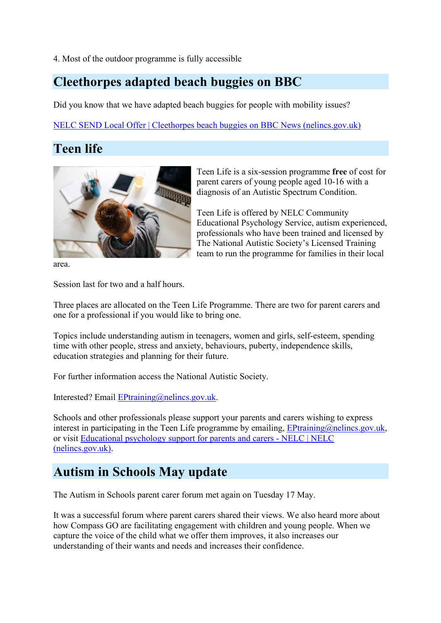4. Most of the outdoor programme is fully accessible

#### **Cleethorpes adapted beach buggies on BBC**

Did you know that we have adapted beach buggies for people with mobility issues?

[NELC SEND Local Offer | Cleethorpes beach buggies on BBC News \(nelincs.gov.uk\)](https://sendlocaloffer.nelincs.gov.uk/cleethorpes-beach-buggies-on-bbc-news/)

Teen Life is a six-session programme **free** of cost for parent carers of young people aged 10-16 with a diagnosis of an Autistic Spectrum Condition.

Educational Psychology Service, autism experienced, professionals who have been trained and licensed by The National Autistic Society's Licensed Training team to run the programme for families in their local

Teen Life is offered by NELC Community

# **Teen life**



area.

Session last for two and a half hours.

Three places are allocated on the Teen Life Programme. There are two for parent carers and one for a professional if you would like to bring one.

Topics include understanding autism in teenagers, women and girls, self-esteem, spending time with other people, stress and anxiety, behaviours, puberty, independence skills, education strategies and planning for their future.

For further information access the National Autistic Society.

Interested? Email [EPtraining@nelincs.gov.uk.](mailto:EPtraining@nelincs.gov.uk)

Schools and other professionals please support your parents and carers wishing to express interest in participating in the Teen Life programme by emailing,  $EPlaraining@nelines.gov.uk$ , or visit [Educational psychology support for parents and carers -](https://www.nelincs.gov.uk/children-families-and-schools/schools-and-education/educational-psychology/educational-psychology-support-for-parents-and-carers/) NELC | NELC [\(nelincs.gov.uk\).](https://www.nelincs.gov.uk/children-families-and-schools/schools-and-education/educational-psychology/educational-psychology-support-for-parents-and-carers/)

## **Autism in Schools May update**

The Autism in Schools parent carer forum met again on Tuesday 17 May.

It was a successful forum where parent carers shared their views. We also heard more about how Compass GO are facilitating engagement with children and young people. When we capture the voice of the child what we offer them improves, it also increases our understanding of their wants and needs and increases their confidence.